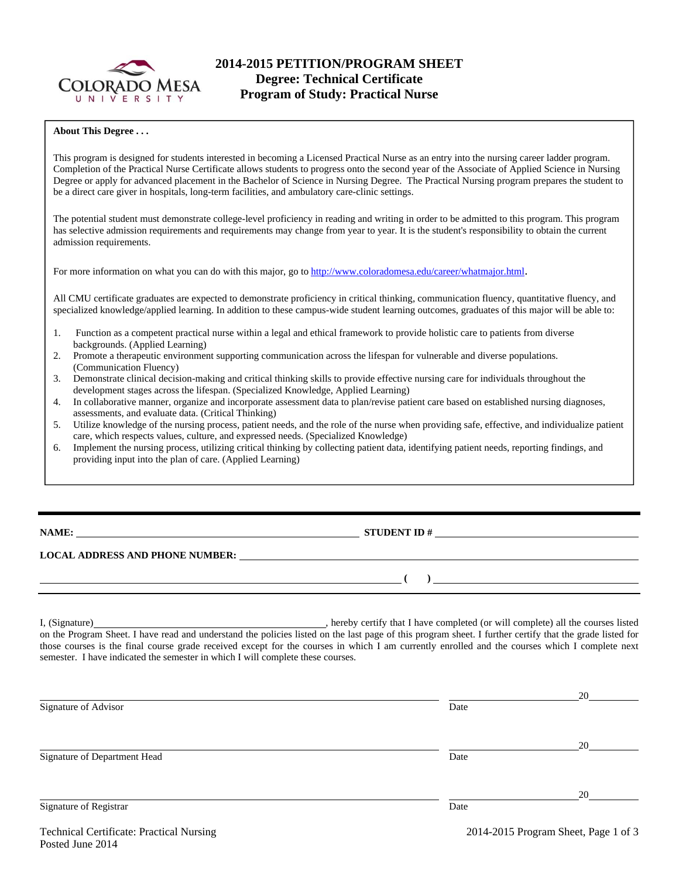

# **2014-2015 PETITION/PROGRAM SHEET Degree: Technical Certificate Program of Study: Practical Nurse**

#### **About This Degree . . .**

This program is designed for students interested in becoming a Licensed Practical Nurse as an entry into the nursing career ladder program. Completion of the Practical Nurse Certificate allows students to progress onto the second year of the Associate of Applied Science in Nursing Degree or apply for advanced placement in the Bachelor of Science in Nursing Degree. The Practical Nursing program prepares the student to be a direct care giver in hospitals, long-term facilities, and ambulatory care-clinic settings.

The potential student must demonstrate college-level proficiency in reading and writing in order to be admitted to this program. This program has selective admission requirements and requirements may change from year to year. It is the student's responsibility to obtain the current admission requirements.

For more information on what you can do with this major, go to http://www.coloradomesa.edu/career/whatmajor.html.

All CMU certificate graduates are expected to demonstrate proficiency in critical thinking, communication fluency, quantitative fluency, and specialized knowledge/applied learning. In addition to these campus-wide student learning outcomes, graduates of this major will be able to:

- 1. Function as a competent practical nurse within a legal and ethical framework to provide holistic care to patients from diverse backgrounds. (Applied Learning)
- 2. Promote a therapeutic environment supporting communication across the lifespan for vulnerable and diverse populations. (Communication Fluency)
- 3. Demonstrate clinical decision-making and critical thinking skills to provide effective nursing care for individuals throughout the development stages across the lifespan. (Specialized Knowledge, Applied Learning)
- 4. In collaborative manner, organize and incorporate assessment data to plan/revise patient care based on established nursing diagnoses, assessments, and evaluate data. (Critical Thinking)
- 5. Utilize knowledge of the nursing process, patient needs, and the role of the nurse when providing safe, effective, and individualize patient care, which respects values, culture, and expressed needs. (Specialized Knowledge)
- Implement the nursing process, utilizing critical thinking by collecting patient data, identifying patient needs, reporting findings, and providing input into the plan of care. (Applied Learning)

**NAME: STUDENT ID #**

 **( )** 

### **LOCAL ADDRESS AND PHONE NUMBER:**

I, (Signature) , hereby certify that I have completed (or will complete) all the courses listed on the Program Sheet. I have read and understand the policies listed on the last page of this program sheet. I further certify that the grade listed for those courses is the final course grade received except for the courses in which I am currently enrolled and the courses which I complete next semester. I have indicated the semester in which I will complete these courses.

|                              |      | 20 |
|------------------------------|------|----|
| Signature of Advisor         | Date |    |
|                              |      | 20 |
| Signature of Department Head | Date |    |
|                              |      | 20 |
| Signature of Registrar       | Date |    |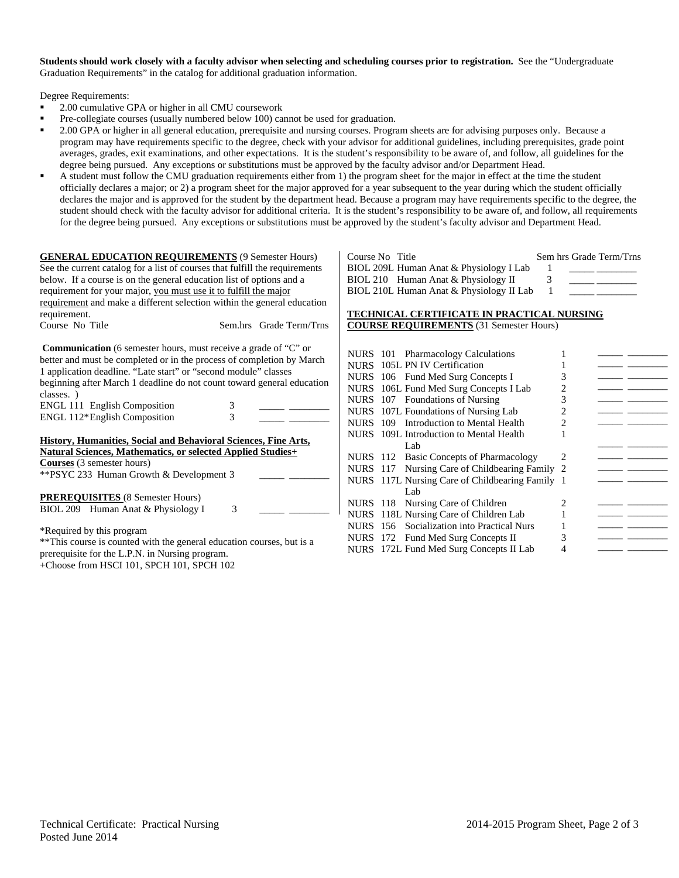**Students should work closely with a faculty advisor when selecting and scheduling courses prior to registration.** See the "Undergraduate Graduation Requirements" in the catalog for additional graduation information.

Degree Requirements:

- 2.00 cumulative GPA or higher in all CMU coursework
- Pre-collegiate courses (usually numbered below 100) cannot be used for graduation.
- 2.00 GPA or higher in all general education, prerequisite and nursing courses. Program sheets are for advising purposes only. Because a program may have requirements specific to the degree, check with your advisor for additional guidelines, including prerequisites, grade point averages, grades, exit examinations, and other expectations. It is the student's responsibility to be aware of, and follow, all guidelines for the degree being pursued. Any exceptions or substitutions must be approved by the faculty advisor and/or Department Head.
- A student must follow the CMU graduation requirements either from 1) the program sheet for the major in effect at the time the student officially declares a major; or 2) a program sheet for the major approved for a year subsequent to the year during which the student officially declares the major and is approved for the student by the department head. Because a program may have requirements specific to the degree, the student should check with the faculty advisor for additional criteria. It is the student's responsibility to be aware of, and follow, all requirements for the degree being pursued. Any exceptions or substitutions must be approved by the student's faculty advisor and Department Head.

| <b>GENERAL EDUCATION REQUIREMENTS (9 Semester Hours)</b>                    |        |                         |  |
|-----------------------------------------------------------------------------|--------|-------------------------|--|
| See the current catalog for a list of courses that fulfill the requirements |        |                         |  |
| below. If a course is on the general education list of options and a        |        |                         |  |
| requirement for your major, you must use it to fulfill the major            |        |                         |  |
| requirement and make a different selection within the general education     |        |                         |  |
| requirement.                                                                |        |                         |  |
| Course No Title                                                             |        | Sem.hrs Grade Term/Trns |  |
|                                                                             |        |                         |  |
| <b>Communication</b> (6 semester hours, must receive a grade of "C" or      |        |                         |  |
| better and must be completed or in the process of completion by March       |        |                         |  |
| 1 application deadline. "Late start" or "second module" classes             |        |                         |  |
| beginning after March 1 deadline do not count toward general education      |        |                         |  |
| classes.)                                                                   |        |                         |  |
|                                                                             |        |                         |  |
| <b>ENGL 111 English Composition</b>                                         | 3<br>3 |                         |  |
| ENGL 112*English Composition                                                |        |                         |  |
|                                                                             |        |                         |  |
| <b>History, Humanities, Social and Behavioral Sciences, Fine Arts,</b>      |        |                         |  |
| <b>Natural Sciences, Mathematics, or selected Applied Studies+</b>          |        |                         |  |
| <b>Courses</b> (3 semester hours)                                           |        |                         |  |
| **PSYC 233 Human Growth & Development 3                                     |        |                         |  |
|                                                                             |        |                         |  |
| <b>PREREQUISITES</b> (8 Semester Hours)                                     |        |                         |  |
| BIOL 209 Human Anat & Physiology I                                          | 3      |                         |  |
|                                                                             |        |                         |  |
| *Required by this program                                                   |        |                         |  |
| **This course is counted with the general education courses, but is a       |        |                         |  |
| prerequisite for the L.P.N. in Nursing program.                             |        |                         |  |

+Choose from HSCI 101, SPCH 101, SPCH 102

| Course No Title |                                          | Sem hrs Grade Term/Trns |
|-----------------|------------------------------------------|-------------------------|
|                 | BIOL 209L Human Anat & Physiology I Lab  |                         |
|                 | BIOL 210 Human Anat & Physiology II      |                         |
|                 | BIOL 210L Human Anat & Physiology II Lab |                         |

### **TECHNICAL CERTIFICATE IN PRACTICAL NURSING COURSE REQUIREMENTS** (31 Semester Hours)

| NURS 101 Pharmacology Calculations              |   |  |
|-------------------------------------------------|---|--|
| NURS 105L PN IV Certification                   |   |  |
| NURS 106 Fund Med Surg Concepts I               | 3 |  |
| NURS 106L Fund Med Surg Concepts I Lab          | 2 |  |
| NURS 107 Foundations of Nursing                 | 3 |  |
| NURS 107L Foundations of Nursing Lab            | 2 |  |
| NURS 109 Introduction to Mental Health          | 2 |  |
| NURS 109L Introduction to Mental Health         |   |  |
| Lab                                             |   |  |
| NURS 112 Basic Concepts of Pharmacology         | 2 |  |
| NURS 117 Nursing Care of Childbearing Family 2  |   |  |
| NURS 117L Nursing Care of Childbearing Family 1 |   |  |
| Lab                                             |   |  |
| NURS 118 Nursing Care of Children               | 2 |  |
| NURS 118L Nursing Care of Children Lab          |   |  |
| NURS 156 Socialization into Practical Nurs      |   |  |
| NURS 172 Fund Med Surg Concepts II              |   |  |
| NURS 172L Fund Med Surg Concepts II Lab         |   |  |